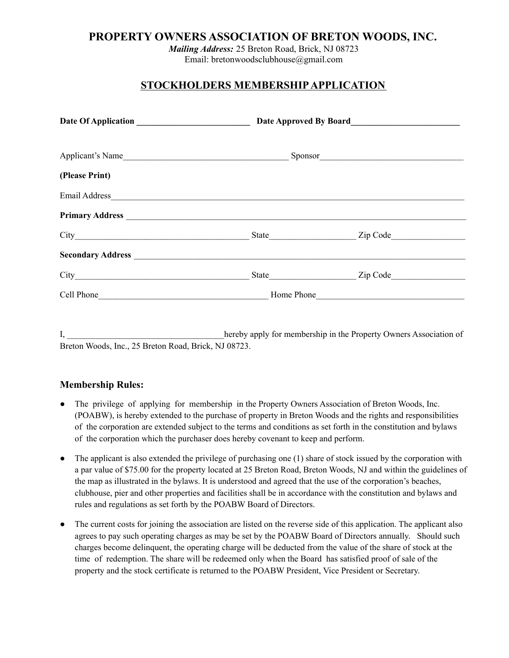## **PROPERTY OWNERS ASSOCIATION OF BRETON WOODS, INC.**

*Mailing Address:* 25 Breton Road, Brick, NJ 08723 Email: bretonwoodsclubhouse@gmail.com

# **STOCKHOLDERS MEMBERSHIPAPPLICATION**

| (Please Print)  |                                                    |                |  |  |  |
|-----------------|----------------------------------------------------|----------------|--|--|--|
| Email Address   |                                                    |                |  |  |  |
| Primary Address |                                                    |                |  |  |  |
|                 |                                                    | State Zip Code |  |  |  |
|                 |                                                    |                |  |  |  |
|                 |                                                    |                |  |  |  |
|                 | Cell Phone <b>Sell Phone Home Phone Home Phone</b> |                |  |  |  |

I, \_\_\_\_\_\_\_\_\_\_\_\_\_\_\_\_\_\_\_\_\_\_\_\_\_\_\_\_\_\_\_\_\_\_\_\_hereby apply for membership in the Property Owners Association of Breton Woods, Inc., 25 Breton Road, Brick, NJ 08723.

### **Membership Rules:**

- The privilege of applying for membership in the Property Owners Association of Breton Woods, Inc. (POABW), is hereby extended to the purchase of property in Breton Woods and the rights and responsibilities of the corporation are extended subject to the terms and conditions as set forth in the constitution and bylaws of the corporation which the purchaser does hereby covenant to keep and perform.
- The applicant is also extended the privilege of purchasing one (1) share of stock issued by the corporation with a par value of \$75.00 for the property located at 25 Breton Road, Breton Woods, NJ and within the guidelines of the map as illustrated in the bylaws. It is understood and agreed that the use of the corporation's beaches, clubhouse, pier and other properties and facilities shall be in accordance with the constitution and bylaws and rules and regulations as set forth by the POABW Board of Directors.
- The current costs for joining the association are listed on the reverse side of this application. The applicant also agrees to pay such operating charges as may be set by the POABW Board of Directors annually. Should such charges become delinquent, the operating charge will be deducted from the value of the share of stock at the time of redemption. The share will be redeemed only when the Board has satisfied proof of sale of the property and the stock certificate is returned to the POABW President, Vice President or Secretary.